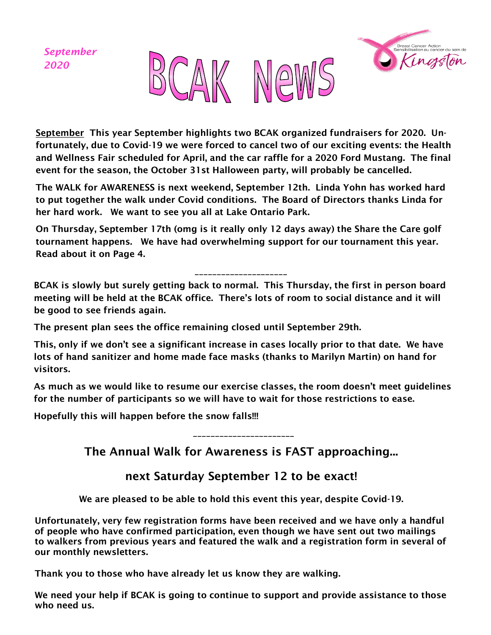*September 2020*





September This year September highlights two BCAK organized fundraisers for 2020. Unfortunately, due to Covid-19 we were forced to cancel two of our exciting events: the Health and Wellness Fair scheduled for April, and the car raffle for a 2020 Ford Mustang. The final event for the season, the October 31st Halloween party, will probably be cancelled.

The WALK for AWARENESS is next weekend, September 12th. Linda Yohn has worked hard to put together the walk under Covid conditions. The Board of Directors thanks Linda for her hard work. We want to see you all at Lake Ontario Park.

On Thursday, September 17th (omg is it really only 12 days away) the Share the Care golf tournament happens. We have had overwhelming support for our tournament this year. Read about it on Page 4.

#### \_\_\_\_\_\_\_\_\_\_\_\_\_\_\_\_\_\_\_\_\_

BCAK is slowly but surely getting back to normal. This Thursday, the first in person board meeting will be held at the BCAK office. There's lots of room to social distance and it will be good to see friends again.

The present plan sees the office remaining closed until September 29th.

This, only if we don't see a significant increase in cases locally prior to that date. We have lots of hand sanitizer and home made face masks (thanks to Marilyn Martin) on hand for visitors.

As much as we would like to resume our exercise classes, the room doesn't meet guidelines for the number of participants so we will have to wait for those restrictions to ease.

Hopefully this will happen before the snow falls!!!

\_\_\_\_\_\_\_\_\_\_\_\_\_\_\_\_\_\_\_\_\_\_\_

The Annual Walk for Awareness is FAST approaching...

#### next Saturday September 12 to be exact!

We are pleased to be able to hold this event this year, despite Covid-19.

Unfortunately, very few registration forms have been received and we have only a handful of people who have confirmed participation, even though we have sent out two mailings to walkers from previous years and featured the walk and a registration form in several of our monthly newsletters.

Thank you to those who have already let us know they are walking.

We need your help if BCAK is going to continue to support and provide assistance to those who need us.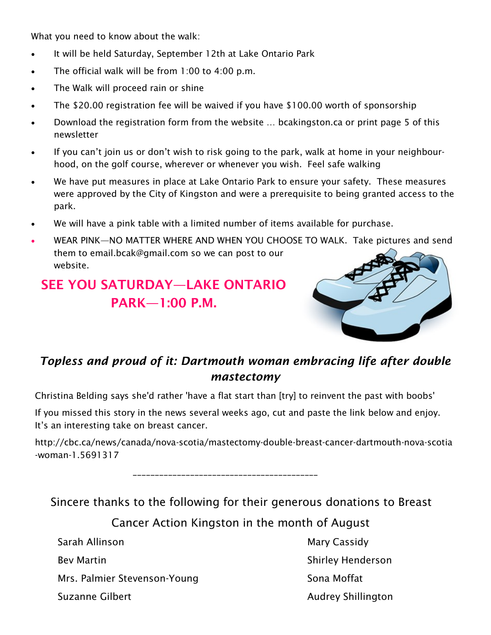What you need to know about the walk:

- It will be held Saturday, September 12th at Lake Ontario Park
- The official walk will be from  $1:00$  to  $4:00$  p.m.
- The Walk will proceed rain or shine
- The \$20.00 registration fee will be waived if you have \$100.00 worth of sponsorship
- Download the registration form from the website … bcakingston.ca or print page 5 of this newsletter
- If you can't join us or don't wish to risk going to the park, walk at home in your neighbourhood, on the golf course, wherever or whenever you wish. Feel safe walking
- We have put measures in place at Lake Ontario Park to ensure your safety. These measures were approved by the City of Kingston and were a prerequisite to being granted access to the park.
- We will have a pink table with a limited number of items available for purchase.
- WEAR PINK—NO MATTER WHERE AND WHEN YOU CHOOSE TO WALK. Take pictures and send them to email.bcak@gmail.com so we can post to our website.

## SEE YOU SATURDAY—LAKE ONTARIO PARK—1:00 P.M.



### *Topless and proud of it: Dartmouth woman embracing life after double mastectomy*

Christina Belding says she'd rather 'have a flat start than [try] to reinvent the past with boobs'

If you missed this story in the news several weeks ago, cut and paste the link below and enjoy. It's an interesting take on breast cancer.

http://cbc.ca/news/canada/nova-scotia/mastectomy-double-breast-cancer-dartmouth-nova-scotia -woman-1.5691317

\_\_\_\_\_\_\_\_\_\_\_\_\_\_\_\_\_\_\_\_\_\_\_\_\_\_\_\_\_\_\_\_\_\_\_\_\_\_\_\_\_\_

Sincere thanks to the following for their generous donations to Breast

Cancer Action Kingston in the month of August

Sarah Allinson Mary Cassidy Mrs. Palmier Stevenson-Young Sona Moffat

Bev Martin National Shirley Henderson Suzanne Gilbert **Audrey Shillington**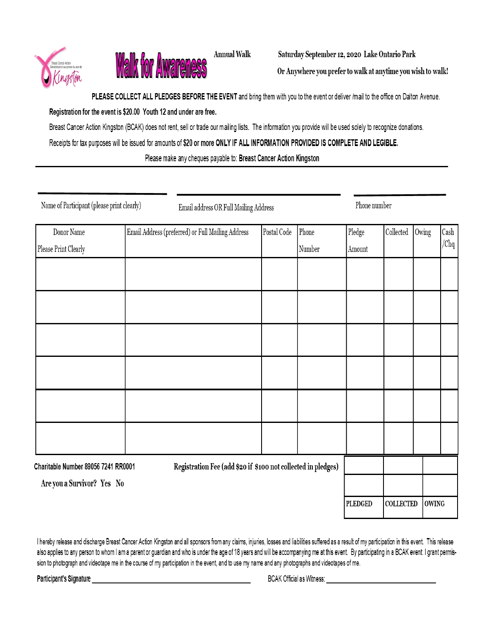



**Annual Walk** 

Saturday September 12, 2020 Lake Ontario Park

Or Anywhere you prefer to walk at anytime you wish to walk!

PLEASE COLLECT ALL PLEDGES BEFORE THE EVENT and bring them with you to the event or deliver /mail to the office on Dalton Avenue.

Registration for the event is \$20.00 Youth 12 and under are free.

Breast Cancer Action Kingston (BCAK) does not rent, sell or trade our mailing lists. The information you provide will be used solely to recognize donations.

Receipts for tax purposes will be issued for amounts of \$20 or more ONLY IF ALL INFORMATION PROVIDED IS COMPLETE AND LEGIBLE.

Please make any cheques payable to: Breast Cancer Action Kingston

Name of Participant (please print clearly)

Email address OR Full Mailing Address

Phone number

| Donor Name                                                                                           | Email Address (preferred) or Full Mailing Address | Postal Code | Phone          | Pledge           | Collected    | Owing | Cash |
|------------------------------------------------------------------------------------------------------|---------------------------------------------------|-------------|----------------|------------------|--------------|-------|------|
| Please Print Clearly                                                                                 |                                                   |             | Number         | Amount           |              |       | /Chq |
|                                                                                                      |                                                   |             |                |                  |              |       |      |
|                                                                                                      |                                                   |             |                |                  |              |       |      |
|                                                                                                      |                                                   |             |                |                  |              |       |      |
|                                                                                                      |                                                   |             |                |                  |              |       |      |
|                                                                                                      |                                                   |             |                |                  |              |       |      |
|                                                                                                      |                                                   |             |                |                  |              |       |      |
|                                                                                                      |                                                   |             |                |                  |              |       |      |
|                                                                                                      |                                                   |             |                |                  |              |       |      |
|                                                                                                      |                                                   |             |                |                  |              |       |      |
|                                                                                                      |                                                   |             |                |                  |              |       |      |
|                                                                                                      |                                                   |             |                |                  |              |       |      |
| Registration Fee (add \$20 if \$100 not collected in pledges)<br>Charitable Number 89056 7241 RR0001 |                                                   |             |                |                  |              |       |      |
| Are you a Survivor? Yes No                                                                           |                                                   |             |                |                  |              |       |      |
|                                                                                                      |                                                   |             | <b>PLEDGED</b> | <b>COLLECTED</b> | <b>OWING</b> |       |      |

I hereby release and discharge Breast Cancer Action Kingston and all sponsors from any claims, injuries, losses and liabilities suffered as a result of my participation in this event. This release also applies to any person to whom I am a parent or guardian and who is under the age of 18 years and will be accompanying me at this event. By participating in a BCAK event: I grant permission to photograph and videotape me in the course of my participation in the event, and to use my name and any photographs and videotapes of me.

Participant's Signature

**BCAK Official as Witness:**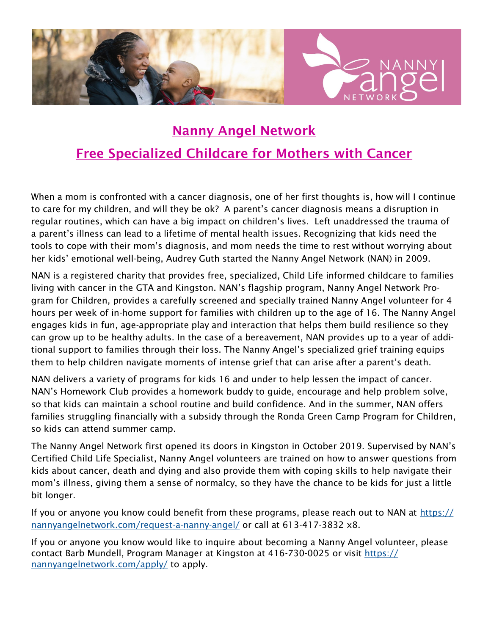

# Nanny Angel Network Free Specialized Childcare for Mothers with Cancer

When a mom is confronted with a cancer diagnosis, one of her first thoughts is, how will I continue to care for my children, and will they be ok? A parent's cancer diagnosis means a disruption in regular routines, which can have a big impact on children's lives. Left unaddressed the trauma of a parent's illness can lead to a lifetime of mental health issues. Recognizing that kids need the tools to cope with their mom's diagnosis, and mom needs the time to rest without worrying about her kids' emotional well-being, Audrey Guth started the Nanny Angel Network (NAN) in 2009.

NAN is a registered charity that provides free, specialized, Child Life informed childcare to families living with cancer in the GTA and Kingston. NAN's flagship program, Nanny Angel Network Program for Children, provides a carefully screened and specially trained Nanny Angel volunteer for 4 hours per week of in-home support for families with children up to the age of 16. The Nanny Angel engages kids in fun, age-appropriate play and interaction that helps them build resilience so they can grow up to be healthy adults. In the case of a bereavement, NAN provides up to a year of additional support to families through their loss. The Nanny Angel's specialized grief training equips them to help children navigate moments of intense grief that can arise after a parent's death.

NAN delivers a variety of programs for kids 16 and under to help lessen the impact of cancer. NAN's Homework Club provides a homework buddy to guide, encourage and help problem solve, so that kids can maintain a school routine and build confidence. And in the summer, NAN offers families struggling financially with a subsidy through the Ronda Green Camp Program for Children, so kids can attend summer camp.

The Nanny Angel Network first opened its doors in Kingston in October 2019. Supervised by NAN's Certified Child Life Specialist, Nanny Angel volunteers are trained on how to answer questions from kids about cancer, death and dying and also provide them with coping skills to help navigate their mom's illness, giving them a sense of normalcy, so they have the chance to be kids for just a little bit longer.

If you or anyone you know could benefit from these programs, please reach out to NAN at [https://](https://nannyangelnetwork.com/request-a-nanny-angel/) [nannyangelnetwork.com/request-a-nanny-angel/](https://nannyangelnetwork.com/request-a-nanny-angel/) or call at 613-417-3832 x8.

If you or anyone you know would like to inquire about becoming a Nanny Angel volunteer, please contact Barb Mundell, Program Manager at Kingston at 416-730-0025 or visit [https://](https://nannyangelnetwork.com/apply/) [nannyangelnetwork.com/apply/](https://nannyangelnetwork.com/apply/) to apply.